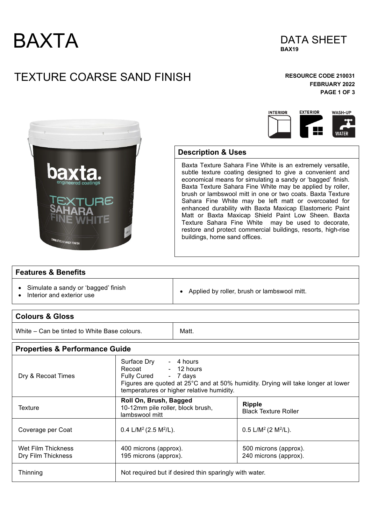



# TEXTURE COARSE SAND FINISH **RESOURCE CODE 210031**

**FEBRUARY 2022 PAGE 1 OF 3** 

45

WASH-UP

WATER

**EXTERIOR** 



### **Description & Uses**

Baxta Texture Sahara Fine White is an extremely versatile, subtle texture coating designed to give a convenient and economical means for simulating a sandy or 'bagged' finish. Baxta Texture Sahara Fine White may be applied by roller, brush or lambswool mitt in one or two coats. Baxta Texture Sahara Fine White may be left matt or overcoated for enhanced durability with Baxta Maxicap Elastomeric Paint Matt or Baxta Maxicap Shield Paint Low Sheen. Baxta Texture Sahara Fine White may be used to decorate, restore and protect commercial buildings, resorts, high-rise buildings, home sand offices.

**INTERIOR** 

#### **Features & Benefits**

- Simulate a sandy or 'bagged' finish
- 

• Interior and exterior use • Applied by roller, brush or lambswool mitt.

| <b>Colours &amp; Gloss</b>                   |                                                                                                                                                                                                        |       |                                                |  |
|----------------------------------------------|--------------------------------------------------------------------------------------------------------------------------------------------------------------------------------------------------------|-------|------------------------------------------------|--|
| White – Can be tinted to White Base colours. |                                                                                                                                                                                                        | Matt. |                                                |  |
| <b>Properties &amp; Performance Guide</b>    |                                                                                                                                                                                                        |       |                                                |  |
| Dry & Recoat Times                           | Surface Dry<br>- 4 hours<br>Recoat - 12 hours<br>Fully Cured - 7 days<br>Figures are quoted at 25°C and at 50% humidity. Drying will take longer at lower<br>temperatures or higher relative humidity. |       |                                                |  |
| Texture                                      | Roll On, Brush, Bagged<br>10-12mm pile roller, block brush,<br>lambswool mitt                                                                                                                          |       | <b>Ripple</b><br><b>Black Texture Roller</b>   |  |
| Coverage per Coat                            | 0.4 L/M <sup>2</sup> (2.5 M <sup>2</sup> /L).                                                                                                                                                          |       | $0.5$ L/M <sup>2</sup> (2 M <sup>2</sup> /L).  |  |
| Wet Film Thickness<br>Dry Film Thickness     | 400 microns (approx).<br>195 microns (approx).                                                                                                                                                         |       | 500 microns (approx).<br>240 microns (approx). |  |
| Thinning                                     | Not required but if desired thin sparingly with water.                                                                                                                                                 |       |                                                |  |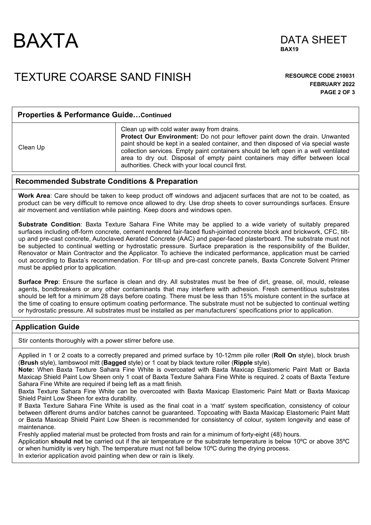



## TEXTURE COARSE SAND FINISH **RESOURCE CODE 210031**

**FEBRUARY 2022 PAGE 2 OF 3** 

| <b>Properties &amp; Performance GuideContinued</b> |                                                                                                                                                                                                                                                                                                                                                                                                                                               |  |  |
|----------------------------------------------------|-----------------------------------------------------------------------------------------------------------------------------------------------------------------------------------------------------------------------------------------------------------------------------------------------------------------------------------------------------------------------------------------------------------------------------------------------|--|--|
| Clean Up                                           | Clean up with cold water away from drains.<br>Protect Our Environment: Do not pour leftover paint down the drain. Unwanted<br>paint should be kept in a sealed container, and then disposed of via special waste<br>collection services. Empty paint containers should be left open in a well ventilated<br>area to dry out. Disposal of empty paint containers may differ between local<br>authorities. Check with your local council first. |  |  |

#### **Recommended Substrate Conditions & Preparation**

**Work Area**: Care should be taken to keep product off windows and adjacent surfaces that are not to be coated, as product can be very difficult to remove once allowed to dry. Use drop sheets to cover surroundings surfaces. Ensure air movement and ventilation while painting. Keep doors and windows open.

**Substrate Condition**: Baxta Texture Sahara Fine White may be applied to a wide variety of suitably prepared surfaces including off-form concrete, cement rendered fair-faced flush-jointed concrete block and brickwork, CFC, tiltup and pre-cast concrete, Autoclaved Aerated Concrete (AAC) and paper-faced plasterboard. The substrate must not be subjected to continual wetting or hydrostatic pressure. Surface preparation is the responsibility of the Builder, Renovator or Main Contractor and the Applicator. To achieve the indicated performance, application must be carried out according to Baxta's recommendation. For tilt-up and pre-cast concrete panels, Baxta Concrete Solvent Primer must be applied prior to application.

**Surface Prep**: Ensure the surface is clean and dry. All substrates must be free of dirt, grease, oil, mould, release agents, bondbreakers or any other contaminants that may interfere with adhesion. Fresh cementitious substrates should be left for a minimum 28 days before coating. There must be less than 15% moisture content in the surface at the time of coating to ensure optimum coating performance. The substrate must not be subjected to continual wetting or hydrostatic pressure. All substrates must be installed as per manufacturers' specifications prior to application.

### **Application Guide**

Stir contents thoroughly with a power stirrer before use.

Applied in 1 or 2 coats to a correctly prepared and primed surface by 10-12mm pile roller (**Roll On** style), block brush (**Brush** style), lambswool mitt (**Bagged** style) or 1 coat by black texture roller (**Ripple** style).

**Note:** When Baxta Texture Sahara Fine White is overcoated with Baxta Maxicap Elastomeric Paint Matt or Baxta Maxicap Shield Paint Low Sheen only 1 coat of Baxta Texture Sahara Fine White is required. 2 coats of Baxta Texture Sahara Fine White are required if being left as a matt finish.

Baxta Texture Sahara Fine White can be overcoated with Baxta Maxicap Elastomeric Paint Matt or Baxta Maxicap Shield Paint Low Sheen for extra durability.

If Baxta Texture Sahara Fine White is used as the final coat in a 'matt' system specification, consistency of colour between different drums and/or batches cannot be guaranteed. Topcoating with Baxta Maxicap Elastomeric Paint Matt or Baxta Maxicap Shield Paint Low Sheen is recommended for consistency of colour, system longevity and ease of maintenance.

Freshly applied material must be protected from frosts and rain for a minimum of forty-eight (48) hours.

Application **should not** be carried out if the air temperature or the substrate temperature is below 10ºC or above 35ºC or when humidity is very high. The temperature must not fall below 10ºC during the drying process.

In exterior application avoid painting when dew or rain is likely.